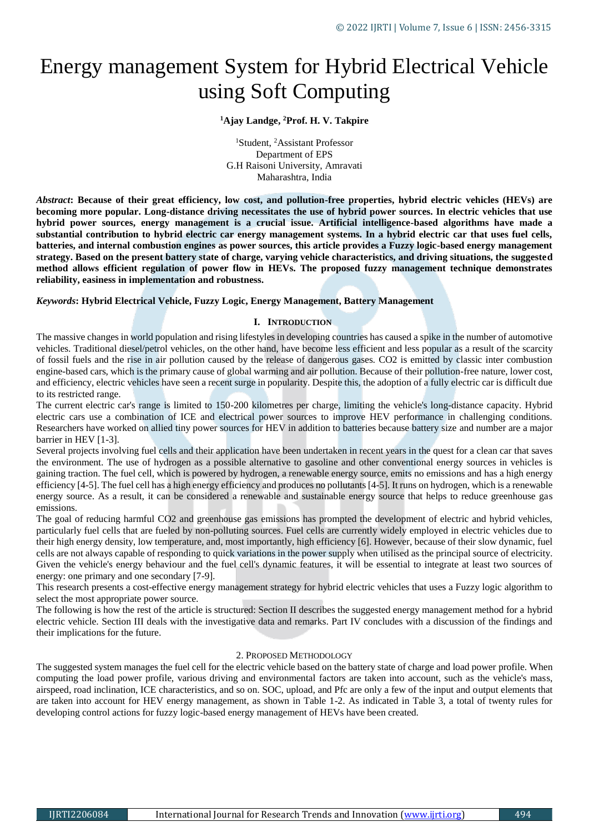# Energy management System for Hybrid Electrical Vehicle using Soft Computing

#### **<sup>1</sup>Ajay Landge, <sup>2</sup>Prof. H. V. Takpire**

<sup>1</sup>Student, <sup>2</sup>Assistant Professor Department of EPS G.H Raisoni University, Amravati Maharashtra, India

*Abstract***: Because of their great efficiency, low cost, and pollution-free properties, hybrid electric vehicles (HEVs) are becoming more popular. Long-distance driving necessitates the use of hybrid power sources. In electric vehicles that use hybrid power sources, energy management is a crucial issue. Artificial intelligence-based algorithms have made a substantial contribution to hybrid electric car energy management systems. In a hybrid electric car that uses fuel cells, batteries, and internal combustion engines as power sources, this article provides a Fuzzy logic-based energy management strategy. Based on the present battery state of charge, varying vehicle characteristics, and driving situations, the suggested method allows efficient regulation of power flow in HEVs. The proposed fuzzy management technique demonstrates reliability, easiness in implementation and robustness.**

#### *Keywords***: Hybrid Electrical Vehicle, Fuzzy Logic, Energy Management, Battery Management**

#### **I. INTRODUCTION**

The massive changes in world population and rising lifestyles in developing countries has caused a spike in the number of automotive vehicles. Traditional diesel/petrol vehicles, on the other hand, have become less efficient and less popular as a result of the scarcity of fossil fuels and the rise in air pollution caused by the release of dangerous gases. CO2 is emitted by classic inter combustion engine-based cars, which is the primary cause of global warming and air pollution. Because of their pollution-free nature, lower cost, and efficiency, electric vehicles have seen a recent surge in popularity. Despite this, the adoption of a fully electric car is difficult due to its restricted range.

The current electric car's range is limited to 150-200 kilometres per charge, limiting the vehicle's long-distance capacity. Hybrid electric cars use a combination of ICE and electrical power sources to improve HEV performance in challenging conditions. Researchers have worked on allied tiny power sources for HEV in addition to batteries because battery size and number are a major barrier in HEV [1-3].

Several projects involving fuel cells and their application have been undertaken in recent years in the quest for a clean car that saves the environment. The use of hydrogen as a possible alternative to gasoline and other conventional energy sources in vehicles is gaining traction. The fuel cell, which is powered by hydrogen, a renewable energy source, emits no emissions and has a high energy efficiency [4-5]. The fuel cell has a high energy efficiency and produces no pollutants [4-5]. It runs on hydrogen, which is a renewable energy source. As a result, it can be considered a renewable and sustainable energy source that helps to reduce greenhouse gas emissions.

The goal of reducing harmful CO2 and greenhouse gas emissions has prompted the development of electric and hybrid vehicles, particularly fuel cells that are fueled by non-polluting sources. Fuel cells are currently widely employed in electric vehicles due to their high energy density, low temperature, and, most importantly, high efficiency [6]. However, because of their slow dynamic, fuel cells are not always capable of responding to quick variations in the power supply when utilised as the principal source of electricity. Given the vehicle's energy behaviour and the fuel cell's dynamic features, it will be essential to integrate at least two sources of energy: one primary and one secondary [7-9].

This research presents a cost-effective energy management strategy for hybrid electric vehicles that uses a Fuzzy logic algorithm to select the most appropriate power source.

The following is how the rest of the article is structured: Section II describes the suggested energy management method for a hybrid electric vehicle. Section III deals with the investigative data and remarks. Part IV concludes with a discussion of the findings and their implications for the future.

## 2. PROPOSED METHODOLOGY

The suggested system manages the fuel cell for the electric vehicle based on the battery state of charge and load power profile. When computing the load power profile, various driving and environmental factors are taken into account, such as the vehicle's mass, airspeed, road inclination, ICE characteristics, and so on. SOC, upload, and Pfc are only a few of the input and output elements that are taken into account for HEV energy management, as shown in Table 1-2. As indicated in Table 3, a total of twenty rules for developing control actions for fuzzy logic-based energy management of HEVs have been created.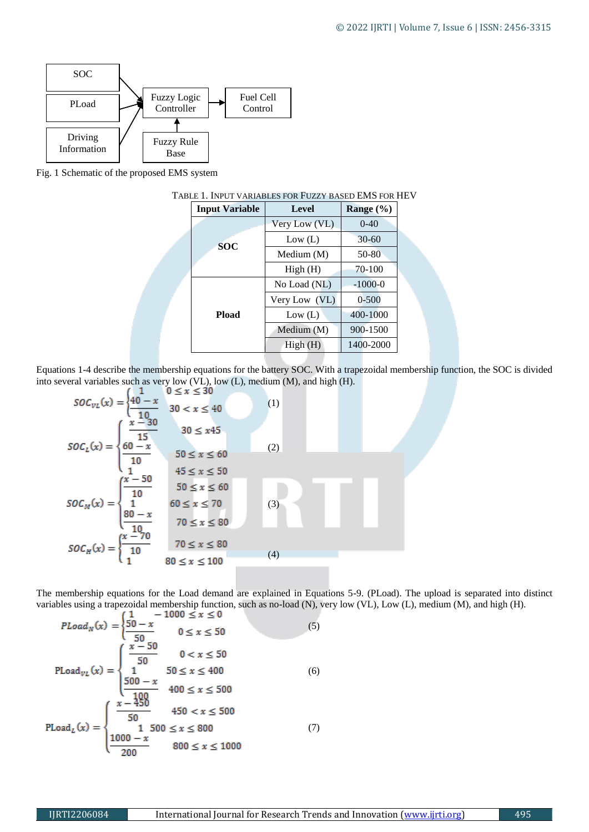

Fig. 1 Schematic of the proposed EMS system

|  | <b>Input Variable</b> | Level         | Range $(\% )$ |  |
|--|-----------------------|---------------|---------------|--|
|  |                       | Very Low (VL) | $0-40$        |  |
|  | <b>SOC</b>            | Low (L)       | $30 - 60$     |  |
|  |                       | Medium (M)    | 50-80         |  |
|  |                       | High(H)       | 70-100        |  |
|  | <b>Pload</b>          | No Load (NL)  | $-1000-0$     |  |
|  |                       | Very Low (VL) | $0 - 500$     |  |
|  |                       | Low (L)       | 400-1000      |  |
|  |                       | Medium $(M)$  | 900-1500      |  |
|  |                       | High(H)       | 1400-2000     |  |

#### TABLE 1. INPUT VARIABLES FOR FUZZY BASED EMS FOR HEV

Equations 1-4 describe the membership equations for the battery SOC. With a trapezoidal membership function, the SOC is divided into several variables such as very low (VL), low (L), medium (M), and high (H).

$$
SOC_{VL}(x) = \begin{cases} 1 & 0 \le x \le 30 \\ \frac{40 - x}{10} & 30 < x \le 40 \end{cases}
$$
(1)  

$$
SOC_L(x) = \begin{cases} \frac{x - 30}{15} & 30 \le x45 \\ \frac{60 - x}{10} & 50 \le x \le 60 \\ \frac{x - 50}{10} & 45 \le x \le 50 \\ 50 \le x \le 60 \end{cases}
$$
(2)  

$$
SOC_M(x) = \begin{cases} \frac{x - 50}{10} & 50 \le x \le 60 \\ \frac{80 - x}{10} & 70 \le x \le 80 \\ 1 & 70 \le x \le 80 \end{cases}
$$
(3)  

$$
SOC_H(x) = \begin{cases} \frac{x - 70}{10} & 70 \le x \le 80 \\ 1 & 80 \le x \le 100 \end{cases}
$$
(4)

The membership equations for the Load demand are explained in Equations 5-9. (PLoad). The upload is separated into distinct variables using a trapezoidal membership function, such as no-load (N), very low (VL), Low (L), medium (M), and high (H).

$$
PLoad_N(x) = \begin{cases} \frac{50 - x}{50} & 0 \le x \le 50 \\ \frac{x - 50}{50} & 0 \le x \le 50 \end{cases}
$$
(5)  
\n
$$
PLoad_{VL}(x) = \begin{cases} \frac{x - 50}{50} & 0 < x \le 50 \\ 1 & 50 \le x \le 400 \\ \frac{500 - x}{100} & 400 \le x \le 500 \end{cases}
$$
(6)  
\n
$$
PLoad_L(x) = \begin{cases} \frac{x - 450}{50} & 450 < x \le 500 \\ 1 & 500 \le x \le 800 \\ \frac{1000 - x}{200} & 800 \le x \le 1000 \end{cases}
$$
(7)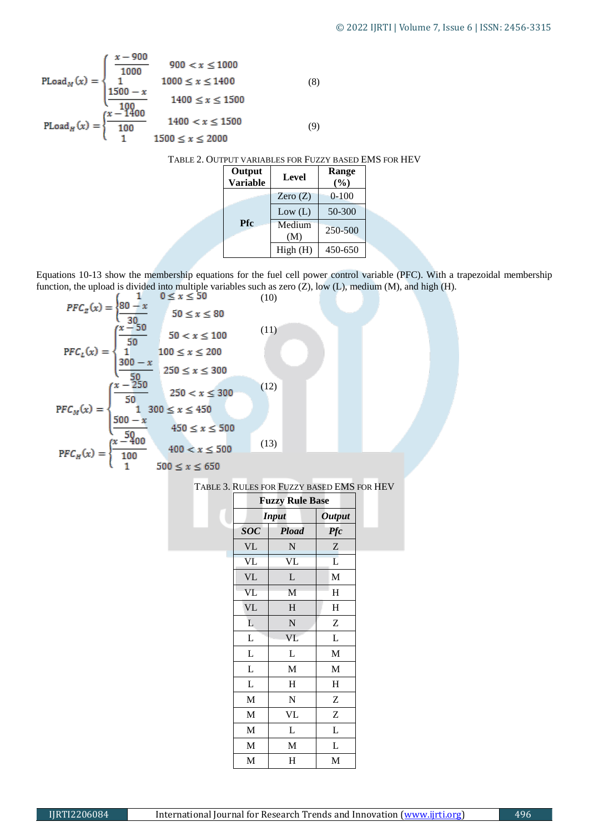$$
\text{Pload}_M(x) = \begin{cases} \frac{x - 900}{1000} & 900 < x \le 1000\\ 1 & 1000 \le x \le 1400\\ \frac{1500 - x}{1000} & 1400 \le x \le 1500 \end{cases} \tag{8}
$$
\n
$$
\text{Pload}_H(x) = \begin{cases} \frac{x - 1400}{1000} & 1400 < x \le 1500\\ 1 & 1500 \le x \le 2000 \end{cases} \tag{9}
$$

TABLE 2. OUTPUT VARIABLES FOR FUZZY BASED EMS FOR HEV

|  | Output<br><b>Variable</b> | Level         | Range<br>(%) |  |
|--|---------------------------|---------------|--------------|--|
|  | <b>Pfc</b>                | Zero $(Z)$    | $0 - 100$    |  |
|  |                           | Low (L)       | 50-300       |  |
|  |                           | Medium<br>(M) | 250-500      |  |
|  |                           | High(H)       | 450-650      |  |

Equations 10-13 show the membership equations for the fuel cell power control variable (PFC). With a trapezoidal membership function, the upload is divided into multiple variables such as zero  $(Z)$ , low  $(L)$ , medium  $(M)$ , and high  $(H)$ .

$$
PFC_{z}(x) = \begin{cases} \frac{80 - x}{30} & 0 \le x \le 50 \end{cases}
$$
(10)  
\n
$$
PFC_{L}(x) = \begin{cases} \frac{x - 50}{50} & 50 \le x \le 100 \end{cases}
$$
(11)  
\n
$$
PFC_{L}(x) = \begin{cases} \frac{x - 50}{50} & 100 \le x \le 200 \end{cases}
$$
  
\n
$$
250 \le x \le 300
$$
  
\n
$$
PFC_{M}(x) = \begin{cases} \frac{x - 250}{50} & 250 < x \le 300 \end{cases}
$$
(12)  
\n
$$
PFC_{M}(x) = \begin{cases} \frac{x - 250}{50} & 450 \le x \le 500 \end{cases}
$$
  
\n
$$
PFC_{H}(x) = \begin{cases} \frac{x - 400}{100} & 400 < x \le 500 \end{cases}
$$
(13)  
\n
$$
250 \le x \le 650
$$

|  | TABLE 3. RULES FOR FUZZY BASED EMS FOR HEV |
|--|--------------------------------------------|
|--|--------------------------------------------|

| <b>Fuzzy Rule Base</b> |                        |                           |  |
|------------------------|------------------------|---------------------------|--|
| <b>Input</b>           | <b>Output</b>          |                           |  |
| <b>SOC</b>             | <b>Pload</b>           | <b>Pfc</b>                |  |
| <b>VL</b>              | N                      | $\ensuremath{\mathbf{Z}}$ |  |
| <b>VL</b>              | $\overline{\text{VL}}$ | L                         |  |
| <b>VL</b>              | L                      | M                         |  |
| VL                     | M                      | H                         |  |
| VL                     | $H_{\rm}$              | $\mathbf H$               |  |
| L                      | ${\bf N}$              | Z                         |  |
| L                      | VL                     | L                         |  |
| L                      | L                      | $\mathbf M$               |  |
| L                      | $\mathbf M$            | M                         |  |
| L                      | H                      | $H_{\rm}$                 |  |
| M                      | ${\bf N}$              | Z                         |  |
| M                      | <b>VL</b>              | Z                         |  |
| M                      | L                      | L                         |  |
| M                      | M                      | L                         |  |
| M                      | Η                      | M                         |  |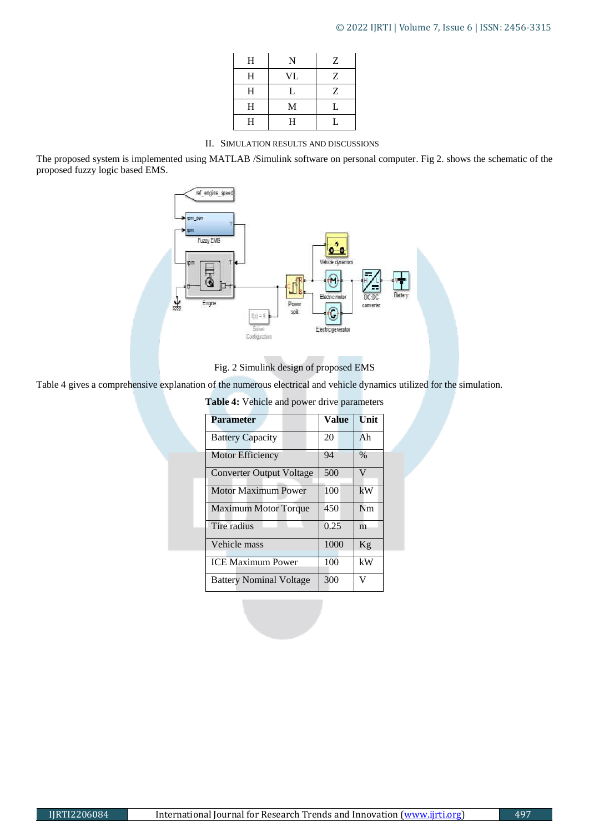# © 2022 IJRTI | Volume 7, Issue 6 | ISSN: 2456-3315

| H | N  | Ζ |
|---|----|---|
| H | VL | Ζ |
| H | L  | Ζ |
| H | M  | L |
| H | H  | U |

II. SIMULATION RESULTS AND DISCUSSIONS

The proposed system is implemented using MATLAB /Simulink software on personal computer. Fig 2. shows the schematic of the proposed fuzzy logic based EMS.



## Fig. 2 Simulink design of proposed EMS

Table 4 gives a comprehensive explanation of the numerous electrical and vehicle dynamics utilized for the simulation.

|  |  |  | Table 4: Vehicle and power drive parameters |  |  |  |  |  |
|--|--|--|---------------------------------------------|--|--|--|--|--|
|--|--|--|---------------------------------------------|--|--|--|--|--|

| <b>Parameter</b>                | <b>Value</b> | Unit          |
|---------------------------------|--------------|---------------|
| <b>Battery Capacity</b>         | 20           | Ah            |
| <b>Motor Efficiency</b>         | 94           | $\frac{0}{0}$ |
| <b>Converter Output Voltage</b> | 500          | V             |
| <b>Motor Maximum Power</b>      | 100          | kW            |
| <b>Maximum Motor Torque</b>     | 450          | Nm            |
| Tire radius                     | 0.25         | m             |
| Vehicle mass                    | 1000         | Kg            |
| <b>ICE Maximum Power</b>        | 100          | kW            |
| <b>Battery Nominal Voltage</b>  | 300          | V             |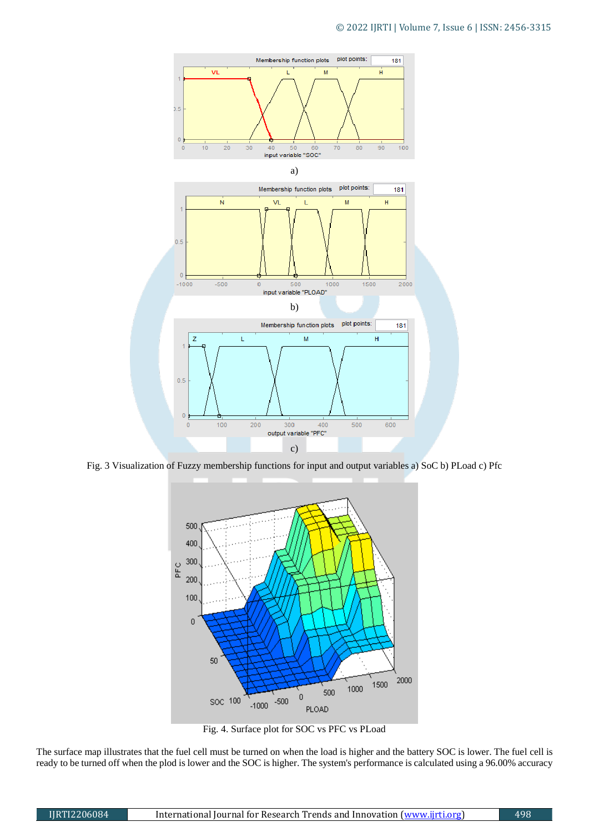

Fig. 3 Visualization of Fuzzy membership functions for input and output variables a) SoC b) PLoad c) Pfc



Fig. 4. Surface plot for SOC vs PFC vs PLoad

The surface map illustrates that the fuel cell must be turned on when the load is higher and the battery SOC is lower. The fuel cell is ready to be turned off when the plod is lower and the SOC is higher. The system's performance is calculated using a 96.00% accuracy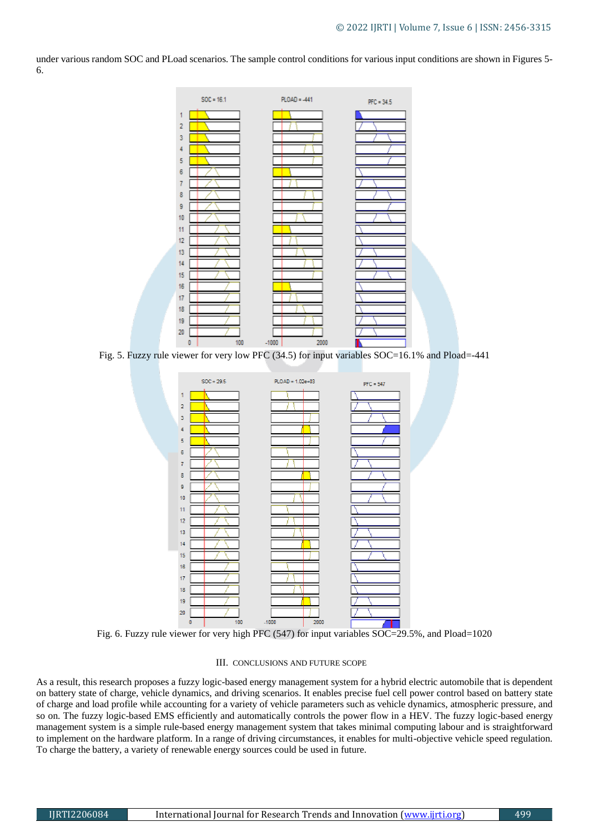under various random SOC and PLoad scenarios. The sample control conditions for various input conditions are shown in Figures 5- 6.



Fig. 5. Fuzzy rule viewer for very low PFC (34.5) for input variables SOC=16.1% and Pload=-441



Fig. 6. Fuzzy rule viewer for very high PFC (547) for input variables SOC=29.5%, and Pload=1020

#### III. CONCLUSIONS AND FUTURE SCOPE

As a result, this research proposes a fuzzy logic-based energy management system for a hybrid electric automobile that is dependent on battery state of charge, vehicle dynamics, and driving scenarios. It enables precise fuel cell power control based on battery state of charge and load profile while accounting for a variety of vehicle parameters such as vehicle dynamics, atmospheric pressure, and so on. The fuzzy logic-based EMS efficiently and automatically controls the power flow in a HEV. The fuzzy logic-based energy management system is a simple rule-based energy management system that takes minimal computing labour and is straightforward to implement on the hardware platform. In a range of driving circumstances, it enables for multi-objective vehicle speed regulation. To charge the battery, a variety of renewable energy sources could be used in future.